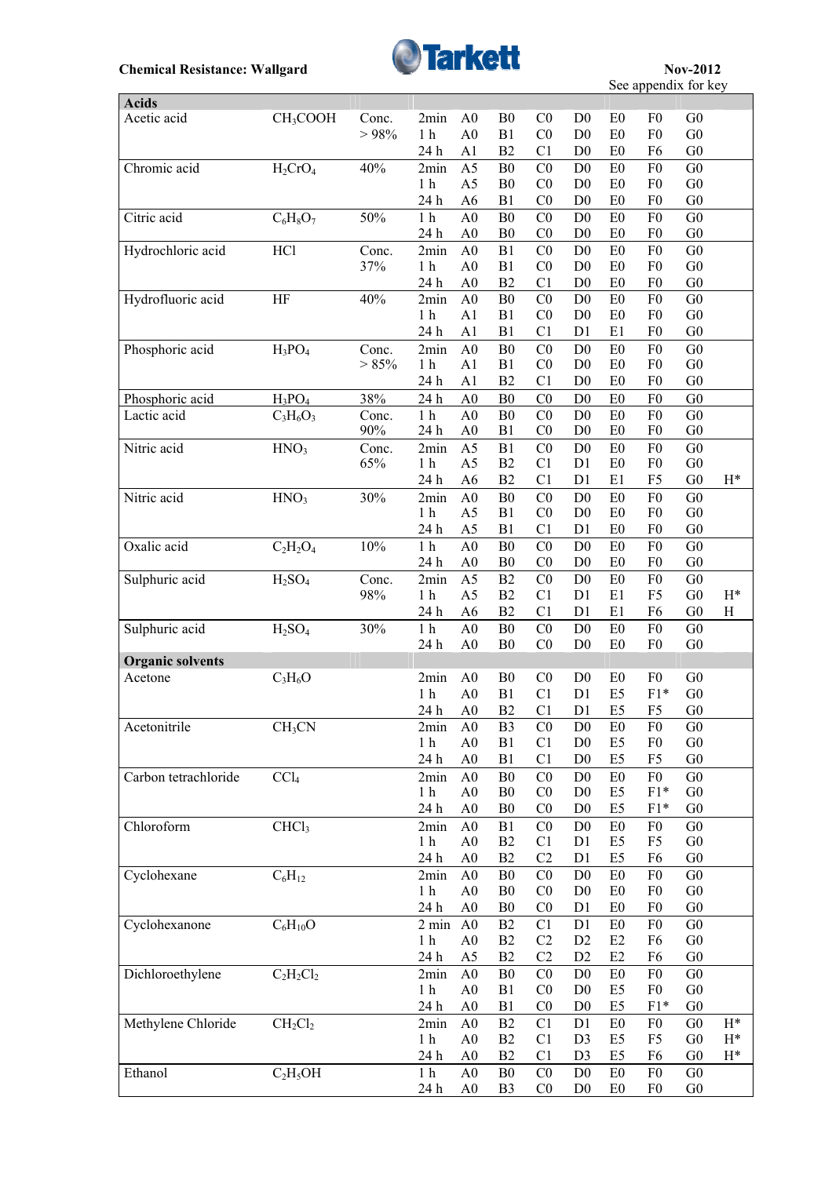

see appendix for key

 $\overline{\phantom{a}}$ 

| <b>Acids</b>                       |                                |                 |                                   |                                  |                      |                                  |                                  |                      |                                  |                                  |                           |
|------------------------------------|--------------------------------|-----------------|-----------------------------------|----------------------------------|----------------------|----------------------------------|----------------------------------|----------------------|----------------------------------|----------------------------------|---------------------------|
| Acetic acid                        | CH <sub>3</sub> COOH           | Conc.           | 2min                              | A <sub>0</sub>                   | B <sub>0</sub>       | C <sub>0</sub>                   | D <sub>0</sub>                   | E <sub>0</sub>       | F <sub>0</sub>                   | G <sub>0</sub>                   |                           |
|                                    |                                | > 98%           | 1 <sub>h</sub>                    | A <sub>0</sub>                   | B1                   | C <sub>0</sub>                   | D <sub>0</sub>                   | E0                   | F <sub>0</sub>                   | G <sub>0</sub>                   |                           |
|                                    |                                |                 | 24 h                              | A1                               | B2                   | C1                               | D <sub>0</sub>                   | E <sub>0</sub>       | F6                               | G <sub>0</sub>                   |                           |
| Chromic acid                       | $H_2CrO_4$                     | 40%             | 2min                              | A <sub>5</sub>                   | B <sub>0</sub>       | CO                               | D <sub>0</sub>                   | E <sub>0</sub>       | F <sub>0</sub>                   | G <sub>0</sub>                   |                           |
|                                    |                                |                 | 1 <sub>h</sub><br>24 h            | A <sub>5</sub><br>A <sub>6</sub> | B <sub>0</sub><br>B1 | C <sub>0</sub><br>C <sub>0</sub> | D <sub>0</sub><br>D <sub>0</sub> | E <sub>0</sub><br>E0 | F <sub>0</sub><br>F <sub>0</sub> | G <sub>0</sub><br>G <sub>0</sub> |                           |
| Citric acid                        | $C_6H_8O_7$                    | 50%             | 1 <sub>h</sub>                    | A <sub>0</sub>                   | B <sub>0</sub>       | C <sub>0</sub>                   | D <sub>0</sub>                   | E <sub>0</sub>       | F <sub>0</sub>                   | G <sub>0</sub>                   |                           |
|                                    |                                |                 | 24 h                              | A <sub>0</sub>                   | B <sub>0</sub>       | C <sub>0</sub>                   | D <sub>0</sub>                   | E0                   | F <sub>0</sub>                   | G <sub>0</sub>                   |                           |
| Hydrochloric acid                  | HCl                            | Conc.           | 2min                              | A <sub>0</sub>                   | B1                   | C <sub>0</sub>                   | D <sub>0</sub>                   | E0                   | F <sub>0</sub>                   | G <sub>0</sub>                   |                           |
|                                    |                                | 37%             | 1 <sub>h</sub>                    | A <sub>0</sub>                   | B1                   | C <sub>0</sub>                   | D <sub>0</sub>                   | E0                   | F <sub>0</sub>                   | ${\rm G0}$                       |                           |
|                                    |                                |                 | 24 h                              | A <sub>0</sub>                   | B2                   | C <sub>1</sub>                   | D <sub>0</sub>                   | E0                   | F <sub>0</sub>                   | ${\rm G0}$                       |                           |
| Hydrofluoric acid                  | HF                             | 40%             | 2min                              | A <sub>0</sub>                   | B <sub>0</sub>       | C <sub>0</sub>                   | D <sub>0</sub>                   | E0                   | F <sub>0</sub>                   | G <sub>0</sub>                   |                           |
|                                    |                                |                 | 1 <sub>h</sub>                    | A1                               | B1                   | C <sub>0</sub>                   | D <sub>0</sub>                   | E0                   | ${\rm F0}$                       | ${\rm G0}$                       |                           |
|                                    |                                |                 | 24 h                              | A <sub>1</sub>                   | B1                   | C <sub>1</sub>                   | D <sub>1</sub>                   | E1                   | F <sub>0</sub>                   | G <sub>0</sub>                   |                           |
| Phosphoric acid                    | $H_3PO_4$                      | Conc.           | 2min                              | A <sub>0</sub>                   | B <sub>0</sub>       | C <sub>0</sub>                   | D <sub>0</sub>                   | E <sub>0</sub>       | F <sub>0</sub>                   | G <sub>0</sub>                   |                           |
|                                    |                                | $> 85\%$        | 1 <sub>h</sub>                    | A1                               | B1                   | C <sub>0</sub>                   | D <sub>0</sub>                   | E <sub>0</sub>       | F <sub>0</sub>                   | ${\rm G0}$                       |                           |
|                                    |                                |                 | 24 h                              | A <sub>1</sub>                   | B2                   | C1                               | D <sub>0</sub>                   | E <sub>0</sub>       | F <sub>0</sub>                   | G <sub>0</sub>                   |                           |
| Phosphoric acid                    | $H_3PO_4$                      | 38%             | 24 h                              | A <sub>0</sub>                   | B <sub>0</sub>       | C <sub>0</sub>                   | D <sub>0</sub>                   | E <sub>0</sub>       | F <sub>0</sub>                   | G <sub>0</sub>                   |                           |
| Lactic acid                        | $C_3H_6O_3$                    | Conc.<br>$90\%$ | 1 <sub>h</sub>                    | A <sub>0</sub><br>A <sub>0</sub> | B <sub>0</sub>       | CO<br>C <sub>0</sub>             | D <sub>0</sub><br>D <sub>0</sub> | E0                   | F <sub>0</sub><br>F <sub>0</sub> | G <sub>0</sub><br>G <sub>0</sub> |                           |
| Nitric acid                        | HNO <sub>3</sub>               | Conc.           | 24 h<br>2min                      | A <sub>5</sub>                   | B1<br>B1             | C <sub>0</sub>                   | D <sub>0</sub>                   | E <sub>0</sub><br>E0 | F <sub>0</sub>                   | G <sub>0</sub>                   |                           |
|                                    |                                | 65%             | 1 <sub>h</sub>                    | A <sub>5</sub>                   | B2                   | C1                               | D1                               | E <sub>0</sub>       | F <sub>0</sub>                   | G <sub>0</sub>                   |                           |
|                                    |                                |                 | 24 h                              | A <sub>6</sub>                   | B2                   | C <sub>1</sub>                   | D <sub>1</sub>                   | E1                   | F <sub>5</sub>                   | G <sub>0</sub>                   | $H^*$                     |
| Nitric acid                        | HNO <sub>3</sub>               | 30%             | 2min                              | A <sub>0</sub>                   | B <sub>0</sub>       | C <sub>0</sub>                   | D <sub>0</sub>                   | E <sub>0</sub>       | F <sub>0</sub>                   | G <sub>0</sub>                   |                           |
|                                    |                                |                 | 1 <sub>h</sub>                    | A <sub>5</sub>                   | B1                   | C <sub>0</sub>                   | D <sub>0</sub>                   | E <sub>0</sub>       | F <sub>0</sub>                   | ${\rm G0}$                       |                           |
|                                    |                                |                 | 24 h                              | A <sub>5</sub>                   | B1                   | C1                               | D1                               | E <sub>0</sub>       | F <sub>0</sub>                   | G <sub>0</sub>                   |                           |
| Oxalic acid                        | $C_2H_2O_4$                    | 10%             | 1 <sub>h</sub>                    | A <sub>0</sub>                   | B <sub>0</sub>       | C <sub>0</sub>                   | D <sub>0</sub>                   | E <sub>0</sub>       | F <sub>0</sub>                   | G <sub>0</sub>                   |                           |
|                                    |                                |                 | 24 h                              | A <sub>0</sub>                   | B <sub>0</sub>       | C <sub>0</sub>                   | D <sub>0</sub>                   | E <sub>0</sub>       | F <sub>0</sub>                   | G <sub>0</sub>                   |                           |
| Sulphuric acid                     | H <sub>2</sub> SO <sub>4</sub> | Conc.           | 2min                              | A <sub>5</sub>                   | B2                   | C <sub>0</sub>                   | D <sub>0</sub>                   | E0                   | F <sub>0</sub>                   | G <sub>0</sub>                   |                           |
|                                    |                                | 98%             | 1 <sub>h</sub>                    | A <sub>5</sub>                   | B2                   | C <sub>1</sub>                   | D1                               | E1                   | F <sub>5</sub>                   | G <sub>0</sub>                   | $\rm H^*$                 |
|                                    |                                |                 | 24 h                              | A <sub>6</sub>                   | B2                   | C1                               | D1                               | E1                   | F <sub>6</sub>                   | G <sub>0</sub>                   | $\boldsymbol{\mathrm{H}}$ |
| Sulphuric acid                     | H <sub>2</sub> SO <sub>4</sub> | 30%             | 1 <sub>h</sub>                    | A <sub>0</sub>                   | B <sub>0</sub>       | C <sub>0</sub>                   | D <sub>0</sub>                   | E0                   | F <sub>0</sub>                   | G <sub>0</sub>                   |                           |
|                                    |                                |                 | 24 h                              | A <sub>0</sub>                   | B <sub>0</sub>       | C <sub>0</sub>                   | D <sub>0</sub>                   | E0                   | F <sub>0</sub>                   | G <sub>0</sub>                   |                           |
| <b>Organic solvents</b><br>Acetone |                                |                 | 2min                              | A <sub>0</sub>                   | B <sub>0</sub>       | C <sub>0</sub>                   | D <sub>0</sub>                   | E <sub>0</sub>       | F <sub>0</sub>                   | G <sub>0</sub>                   |                           |
|                                    | $C_3H_6O$                      |                 | 1 <sub>h</sub>                    | A <sub>0</sub>                   | B1                   | C1                               | D1                               | E <sub>5</sub>       | $F1*$                            | ${\rm G0}$                       |                           |
|                                    |                                |                 | 24 h                              | A <sub>0</sub>                   | B2                   | C <sub>1</sub>                   | D <sub>1</sub>                   | E5                   | F <sub>5</sub>                   | G <sub>0</sub>                   |                           |
| Acetonitrile                       | CH <sub>3</sub> CN             |                 | 2min                              | A <sub>0</sub>                   | $\overline{B3}$      | $\overline{C}$                   | $\overline{D0}$                  | E0                   | F <sub>0</sub>                   | $\overline{G0}$                  |                           |
|                                    |                                |                 | 1 <sub>h</sub>                    | A <sub>0</sub>                   | B1                   | C1                               | D <sub>0</sub>                   | E <sub>5</sub>       | F <sub>0</sub>                   | ${\rm G0}$                       |                           |
|                                    |                                |                 | 24 h                              | A <sub>0</sub>                   | B1                   | C1                               | D <sub>0</sub>                   | E5                   | F <sub>5</sub>                   | G <sub>0</sub>                   |                           |
| Carbon tetrachloride               | CCl <sub>4</sub>               |                 | 2min                              | A <sub>0</sub>                   | B <sub>0</sub>       | C <sub>0</sub>                   | D <sub>0</sub>                   | E <sub>0</sub>       | ${\rm F0}$                       | G <sub>0</sub>                   |                           |
|                                    |                                |                 | 1 <sub>h</sub>                    | A <sub>0</sub>                   | B <sub>0</sub>       | C <sub>0</sub>                   | D <sub>0</sub>                   | E <sub>5</sub>       | $F1*$                            | G <sub>0</sub>                   |                           |
|                                    |                                |                 | 24 h                              | A <sub>0</sub>                   | B <sub>0</sub>       | C <sub>0</sub>                   | D <sub>0</sub>                   | E <sub>5</sub>       | $F1*$                            | G <sub>0</sub>                   |                           |
| Chloroform                         | CHCl <sub>3</sub>              |                 | 2min                              | A <sub>0</sub>                   | B1                   | C <sub>0</sub>                   | D <sub>0</sub>                   | E <sub>0</sub>       | F <sub>0</sub>                   | G <sub>0</sub>                   |                           |
|                                    |                                |                 | 1 <sub>h</sub>                    | A <sub>0</sub>                   | B2                   | C1                               | D <sub>1</sub>                   | E <sub>5</sub>       | F <sub>5</sub>                   | G <sub>0</sub>                   |                           |
|                                    |                                |                 | 24 h                              | A <sub>0</sub>                   | B2                   | C <sub>2</sub>                   | D <sub>1</sub>                   | E <sub>5</sub>       | F <sub>6</sub>                   | G <sub>0</sub>                   |                           |
| Cyclohexane                        | $C_6H_{12}$                    |                 | 2min                              | A <sub>0</sub>                   | B <sub>0</sub>       | C <sub>0</sub>                   | D <sub>0</sub>                   | E <sub>0</sub>       | F <sub>0</sub>                   | G <sub>0</sub>                   |                           |
|                                    |                                |                 | 1 <sub>h</sub>                    | A <sub>0</sub>                   | B <sub>0</sub>       | C <sub>0</sub>                   | D <sub>0</sub>                   | E <sub>0</sub>       | F <sub>0</sub>                   | G <sub>0</sub>                   |                           |
|                                    |                                |                 | 24 h                              | A <sub>0</sub>                   | B <sub>0</sub>       | C <sub>0</sub>                   | D1                               | E <sub>0</sub>       | F <sub>0</sub>                   | G <sub>0</sub>                   |                           |
| Cyclohexanone                      | $C_6H_{10}O$                   |                 | $2 \text{ min}$<br>1 <sub>h</sub> | A <sub>0</sub><br>A <sub>0</sub> | B2<br>B2             | C <sub>1</sub><br>C <sub>2</sub> | D1<br>D2                         | E0<br>E2             | F <sub>0</sub><br>F <sub>6</sub> | G <sub>0</sub><br>G <sub>0</sub> |                           |
|                                    |                                |                 | 24 h                              | A <sub>5</sub>                   | B <sub>2</sub>       | C <sub>2</sub>                   | D <sub>2</sub>                   | E2                   | F <sub>6</sub>                   | G <sub>0</sub>                   |                           |
| Dichloroethylene                   | $C_2H_2Cl_2$                   |                 | 2min                              | A <sub>0</sub>                   | B <sub>0</sub>       | C <sub>0</sub>                   | D <sub>0</sub>                   | E <sub>0</sub>       | F <sub>0</sub>                   | ${\rm G0}$                       |                           |
|                                    |                                |                 | 1 <sub>h</sub>                    | A <sub>0</sub>                   | B1                   | C <sub>0</sub>                   | D <sub>0</sub>                   | E <sub>5</sub>       | F <sub>0</sub>                   | G <sub>0</sub>                   |                           |
|                                    |                                |                 | 24 h                              | A <sub>0</sub>                   | B1                   | C <sub>0</sub>                   | D <sub>0</sub>                   | E <sub>5</sub>       | $F1*$                            | G <sub>0</sub>                   |                           |
| Methylene Chloride                 | $CH_2Cl_2$                     |                 | 2min                              | A <sub>0</sub>                   | B2                   | C1                               | D <sub>1</sub>                   | E <sub>0</sub>       | F <sub>0</sub>                   | G <sub>0</sub>                   | $H^*$                     |
|                                    |                                |                 | 1 <sub>h</sub>                    | A <sub>0</sub>                   | B2                   | C1                               | D <sub>3</sub>                   | E <sub>5</sub>       | F <sub>5</sub>                   | G <sub>0</sub>                   | $H^*$                     |
|                                    |                                |                 | 24 h                              | A <sub>0</sub>                   | B2                   | C1                               | D <sub>3</sub>                   | E <sub>5</sub>       | F <sub>6</sub>                   | G <sub>0</sub>                   | $H^*$                     |
| Ethanol                            | $C_2H_5OH$                     |                 | 1 <sub>h</sub>                    | A <sub>0</sub>                   | B <sub>0</sub>       | C <sub>0</sub>                   | D <sub>0</sub>                   | E0                   | F <sub>0</sub>                   | G <sub>0</sub>                   |                           |
|                                    |                                |                 | 24 h                              | A <sub>0</sub>                   | B <sub>3</sub>       | C <sub>0</sub>                   | D <sub>0</sub>                   | E0                   | F <sub>0</sub>                   | G <sub>0</sub>                   |                           |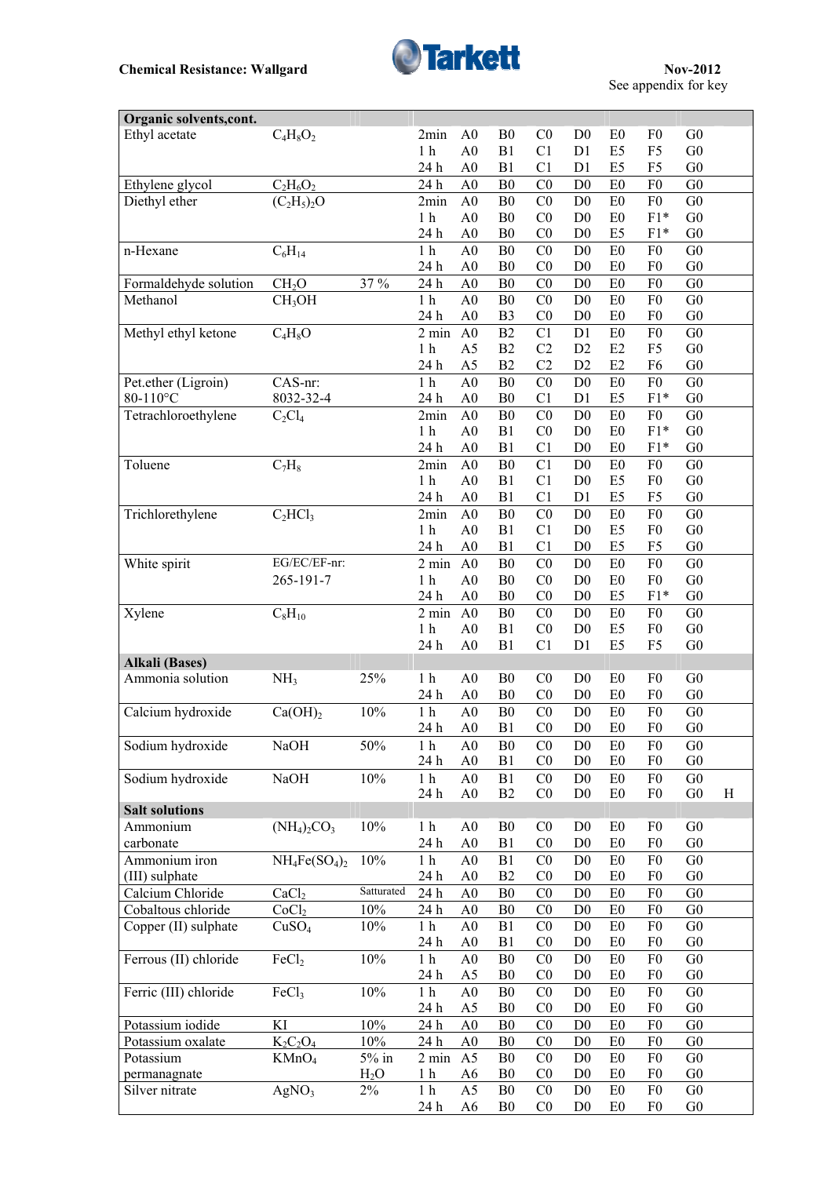

| Organic solvents, cont. |                     |                  |                         |                                  |                                  |                                  |                                  |                                  |                                  |                                  |   |
|-------------------------|---------------------|------------------|-------------------------|----------------------------------|----------------------------------|----------------------------------|----------------------------------|----------------------------------|----------------------------------|----------------------------------|---|
| Ethyl acetate           | $C_4H_8O_2$         |                  | 2min                    | A <sub>0</sub>                   | B <sub>0</sub>                   | C <sub>0</sub>                   | D <sub>0</sub>                   | E <sub>0</sub>                   | F <sub>0</sub>                   | G <sub>0</sub>                   |   |
|                         |                     |                  | 1 <sub>h</sub>          | A <sub>0</sub>                   | B1                               | C1                               | D1                               | E <sub>5</sub>                   | F <sub>5</sub>                   | G <sub>0</sub>                   |   |
|                         |                     |                  | 24 h                    | A <sub>0</sub>                   | B1                               | C1                               | D <sub>1</sub>                   | E <sub>5</sub>                   | F <sub>5</sub>                   | G <sub>0</sub>                   |   |
| Ethylene glycol         | $C_2H_6O_2$         |                  | 24 h                    | A <sub>0</sub>                   | B <sub>0</sub>                   | $\rm CO$                         | D <sub>0</sub>                   | E <sub>0</sub>                   | F <sub>0</sub>                   | G <sub>0</sub>                   |   |
| Diethyl ether           | $(C_2H_5)_2O$       |                  | 2min                    | A <sub>0</sub>                   | B <sub>0</sub>                   | C <sub>0</sub>                   | D <sub>0</sub>                   | E0                               | F <sub>0</sub>                   | G <sub>0</sub>                   |   |
|                         |                     |                  | 1 <sub>h</sub>          | A <sub>0</sub>                   | B <sub>0</sub>                   | C <sub>0</sub>                   | D <sub>0</sub>                   | E <sub>0</sub>                   | $F1*$                            | G <sub>0</sub>                   |   |
|                         |                     |                  | 24 h                    | A <sub>0</sub>                   | B <sub>0</sub>                   | C <sub>0</sub>                   | D <sub>0</sub>                   | E <sub>5</sub>                   | $F1*$                            | G <sub>0</sub>                   |   |
| n-Hexane                | $C_6H_{14}$         |                  | $1h$                    | A <sub>0</sub>                   | B <sub>0</sub>                   | C <sub>0</sub>                   | D <sub>0</sub>                   | E0                               | F <sub>0</sub>                   | G <sub>0</sub>                   |   |
|                         |                     |                  | 24 h                    | A <sub>0</sub>                   | B <sub>0</sub>                   | C <sub>0</sub>                   | D <sub>0</sub>                   | E <sub>0</sub>                   | F <sub>0</sub>                   | G <sub>0</sub>                   |   |
| Formaldehyde solution   | CH <sub>2</sub> O   | 37 %             | 24 h                    | A <sub>0</sub>                   | ${\bf B0}$                       | C <sub>0</sub>                   | D <sub>0</sub>                   | E0                               | F <sub>0</sub>                   | G <sub>0</sub>                   |   |
| Methanol                | CH <sub>3</sub> OH  |                  | 1 <sub>h</sub>          | A <sub>0</sub>                   | B <sub>0</sub>                   | C <sub>0</sub>                   | D <sub>0</sub>                   | E0                               | F <sub>0</sub>                   | G <sub>0</sub>                   |   |
|                         |                     |                  | 24 h                    | A <sub>0</sub>                   | B <sub>3</sub>                   | C <sub>0</sub>                   | D <sub>0</sub>                   | E <sub>0</sub>                   | F <sub>0</sub>                   | G <sub>0</sub>                   |   |
| Methyl ethyl ketone     | $C_4H_8O$           |                  | 2 min                   | A <sub>0</sub>                   | B2                               | C1                               | D1                               | E <sub>0</sub>                   | F <sub>0</sub>                   | G <sub>0</sub>                   |   |
|                         |                     |                  | 1 <sub>h</sub>          | A <sub>5</sub>                   | B2                               | C2                               | D2                               | E2                               | F <sub>5</sub>                   | ${\rm G0}$                       |   |
|                         |                     |                  | 24 h                    | A5                               | B2                               | C2                               | D2                               | E2                               | F <sub>6</sub>                   | ${\rm G0}$                       |   |
| Pet.ether (Ligroin)     | CAS-nr:             |                  | $1h$                    | A <sub>0</sub>                   | B <sub>0</sub>                   | C <sub>0</sub>                   | D <sub>0</sub>                   | E0                               | ${\rm F0}$                       | G <sub>0</sub>                   |   |
| 80-110°C                | 8032-32-4           |                  | 24 h                    | A <sub>0</sub>                   | B <sub>0</sub>                   | C1                               | D <sub>1</sub>                   | E <sub>5</sub>                   | $F1*$                            | G <sub>0</sub>                   |   |
| Tetrachloroethylene     | $C_2Cl_4$           |                  | 2min                    | A <sub>0</sub>                   | B <sub>0</sub>                   | C <sub>0</sub>                   | D <sub>0</sub>                   | E0                               | F <sub>0</sub>                   | G <sub>0</sub>                   |   |
|                         |                     |                  | 1 <sub>h</sub>          | A <sub>0</sub>                   | B1                               | C <sub>0</sub>                   | D <sub>0</sub>                   | E <sub>0</sub>                   | $F1*$                            | G <sub>0</sub>                   |   |
|                         |                     |                  | 24 h                    | A <sub>0</sub>                   | B1                               | C <sub>1</sub>                   | D <sub>0</sub>                   | E <sub>0</sub>                   | $F1*$                            | G <sub>0</sub>                   |   |
| Toluene                 | $C_7H_8$            |                  | 2min                    | A <sub>0</sub>                   | B <sub>0</sub>                   | C1                               | D <sub>0</sub>                   | E0                               | F <sub>0</sub>                   | G <sub>0</sub>                   |   |
|                         |                     |                  | 1 <sub>h</sub>          | A <sub>0</sub>                   | B1                               | C1                               | D <sub>0</sub>                   | E <sub>5</sub>                   | F <sub>0</sub>                   | G <sub>0</sub>                   |   |
|                         |                     |                  | 24 h                    | A <sub>0</sub>                   | B1                               | C1                               | D <sub>1</sub>                   | E <sub>5</sub>                   | F <sub>5</sub>                   | G <sub>0</sub>                   |   |
| Trichlorethylene        | $C_2HCl_3$          |                  | 2min                    | A <sub>0</sub>                   | B <sub>0</sub>                   | C <sub>0</sub>                   | D <sub>0</sub>                   | E <sub>0</sub>                   | F <sub>0</sub>                   | G <sub>0</sub>                   |   |
|                         |                     |                  | 1 <sub>h</sub>          | A <sub>0</sub>                   | B1                               | C1                               | D <sub>0</sub>                   | E <sub>5</sub>                   | F <sub>0</sub>                   | G <sub>0</sub>                   |   |
|                         |                     |                  | 24 h                    | A <sub>0</sub>                   | B1                               | C <sub>1</sub>                   | D <sub>0</sub>                   | E <sub>5</sub>                   | F <sub>5</sub>                   | G <sub>0</sub>                   |   |
| White spirit            | EG/EC/EF-nr:        |                  | $2 \text{ min}$         | A <sub>0</sub>                   | ${\bf B0}$                       | C <sub>0</sub>                   | D <sub>0</sub>                   | E <sub>0</sub>                   | F <sub>0</sub>                   | G <sub>0</sub>                   |   |
|                         | 265-191-7           |                  | 1 <sub>h</sub>          | A <sub>0</sub>                   | B <sub>0</sub>                   | CO                               | D <sub>0</sub>                   | E <sub>0</sub>                   | F <sub>0</sub>                   | G <sub>0</sub>                   |   |
|                         |                     |                  | 24 h                    | A <sub>0</sub>                   | B <sub>0</sub>                   | C <sub>0</sub>                   | D <sub>0</sub>                   | E <sub>5</sub>                   | $F1*$                            | G <sub>0</sub>                   |   |
| Xylene                  | $C_8H_{10}$         |                  | $2 \text{ min}$         | A <sub>0</sub>                   | B <sub>0</sub>                   | C <sub>0</sub>                   | D <sub>0</sub>                   | E <sub>0</sub>                   | F <sub>0</sub>                   | G <sub>0</sub>                   |   |
|                         |                     |                  | 1 <sub>h</sub>          | A <sub>0</sub>                   | B1                               | C <sub>0</sub>                   | D <sub>0</sub>                   | E <sub>5</sub>                   | F <sub>0</sub>                   | G <sub>0</sub>                   |   |
|                         |                     |                  | 24 h                    | A <sub>0</sub>                   | B1                               | C1                               | D1                               | E <sub>5</sub>                   | F <sub>5</sub>                   | G <sub>0</sub>                   |   |
| <b>Alkali</b> (Bases)   |                     |                  |                         |                                  |                                  |                                  |                                  |                                  |                                  |                                  |   |
| Ammonia solution        | NH <sub>3</sub>     | 25%              | 1 <sub>h</sub>          | A <sub>0</sub>                   | B <sub>0</sub>                   | C <sub>0</sub>                   | D <sub>0</sub>                   | E <sub>0</sub>                   | F <sub>0</sub>                   | G <sub>0</sub>                   |   |
|                         |                     |                  | 24 h                    | A <sub>0</sub>                   | B <sub>0</sub>                   | C <sub>0</sub>                   | D <sub>0</sub>                   | E <sub>0</sub>                   | F <sub>0</sub>                   | G <sub>0</sub>                   |   |
| Calcium hydroxide       | Ca(OH) <sub>2</sub> | 10%              | 1 <sub>h</sub>          | A <sub>0</sub>                   | B <sub>0</sub>                   | C <sub>0</sub>                   | D <sub>0</sub>                   | E <sub>0</sub>                   | F <sub>0</sub>                   | G <sub>0</sub>                   |   |
|                         |                     |                  | 24 h                    | A <sub>0</sub>                   | B1                               | C <sub>0</sub>                   | D <sub>0</sub>                   | E <sub>0</sub>                   | F <sub>0</sub>                   | G <sub>0</sub>                   |   |
| Sodium hydroxide        | NaOH                | 50%              | 1 <sub>h</sub>          | A <sub>0</sub>                   | B <sub>0</sub>                   | C <sub>0</sub>                   | D <sub>0</sub>                   | E <sub>0</sub>                   | F <sub>0</sub>                   | G <sub>0</sub>                   |   |
|                         |                     |                  | 24 h                    | A <sub>0</sub>                   | B1                               | C <sub>0</sub>                   | D <sub>0</sub>                   | E <sub>0</sub>                   | F <sub>0</sub>                   | G <sub>0</sub>                   |   |
| Sodium hydroxide        | <b>NaOH</b>         | 10%              | 1 <sub>h</sub>          | A <sub>0</sub>                   | B1                               | C <sub>0</sub>                   | D <sub>0</sub>                   | E <sub>0</sub>                   | F <sub>0</sub>                   | G <sub>0</sub>                   |   |
|                         |                     |                  | 24 h                    | A <sub>0</sub>                   | B2                               | C <sub>0</sub>                   | D <sub>0</sub>                   | E <sub>0</sub>                   | F <sub>0</sub>                   | ${\rm G0}$                       | H |
| <b>Salt solutions</b>   |                     |                  |                         |                                  |                                  |                                  |                                  |                                  |                                  |                                  |   |
| Ammonium                | $(NH_4)_2CO_3$      | $10\%$           | 1 <sub>h</sub>          | A <sub>0</sub>                   | B <sub>0</sub>                   | C <sub>0</sub>                   | D <sub>0</sub>                   | E0                               | F <sub>0</sub>                   | G <sub>0</sub>                   |   |
| carbonate               |                     |                  | 24 h                    | A <sub>0</sub>                   | B1                               | C <sub>0</sub>                   | D <sub>0</sub>                   | E0                               | ${\rm F0}$                       | G <sub>0</sub>                   |   |
| Ammonium iron           | $NH_4Fe(SO_4)_2$    | 10%              | 1 <sub>h</sub>          | A <sub>0</sub>                   | B1                               | C <sub>0</sub>                   | D <sub>0</sub>                   | ${\rm E0}$                       | F <sub>0</sub>                   | G <sub>0</sub>                   |   |
| (III) sulphate          |                     | Satturated       | 24 h                    | A <sub>0</sub>                   | B2                               | C <sub>0</sub>                   | D <sub>0</sub>                   | E <sub>0</sub>                   | F <sub>0</sub>                   | G <sub>0</sub>                   |   |
| Calcium Chloride        | CaCl <sub>2</sub>   |                  | 24 h                    | A <sub>0</sub>                   | ${\bf B0}$                       | C <sub>0</sub>                   | D <sub>0</sub>                   | E <sub>0</sub>                   | F <sub>0</sub>                   | G <sub>0</sub>                   |   |
| Cobaltous chloride      | CoCl <sub>2</sub>   | 10%              | 24 h                    | A <sub>0</sub>                   | B <sub>0</sub>                   | C <sub>0</sub>                   | D <sub>0</sub>                   | E <sub>0</sub>                   | F <sub>0</sub>                   | G <sub>0</sub>                   |   |
| Copper (II) sulphate    | CuSO <sub>4</sub>   | 10%              | 1 <sub>h</sub>          | A <sub>0</sub>                   | B1<br>B1                         | C <sub>0</sub>                   | D <sub>0</sub>                   | E <sub>0</sub>                   | F <sub>0</sub><br>F <sub>0</sub> | G <sub>0</sub><br>${\rm G0}$     |   |
| Ferrous (II) chloride   | FeCl <sub>2</sub>   | 10%              | 24 h<br>$1\ \mathrm{h}$ | A <sub>0</sub><br>A <sub>0</sub> | B <sub>0</sub>                   | C <sub>0</sub><br>C <sub>0</sub> | D <sub>0</sub><br>D <sub>0</sub> | E <sub>0</sub><br>E0             | F <sub>0</sub>                   | G <sub>0</sub>                   |   |
|                         |                     |                  | 24 h                    | A <sub>5</sub>                   | B <sub>0</sub>                   | C <sub>0</sub>                   | D <sub>0</sub>                   | E <sub>0</sub>                   | F <sub>0</sub>                   | G <sub>0</sub>                   |   |
|                         |                     |                  |                         |                                  |                                  |                                  |                                  |                                  |                                  |                                  |   |
| Ferric (III) chloride   | FeCl <sub>3</sub>   | 10%              | 1 <sub>h</sub><br>24 h  | A <sub>0</sub><br>A <sub>5</sub> | B <sub>0</sub><br>B <sub>0</sub> | C <sub>0</sub><br>C <sub>0</sub> | D <sub>0</sub><br>D <sub>0</sub> | E <sub>0</sub><br>E <sub>0</sub> | F <sub>0</sub><br>F <sub>0</sub> | G <sub>0</sub><br>G <sub>0</sub> |   |
| Potassium iodide        | KI                  | 10%              | 24 h                    | A <sub>0</sub>                   | B <sub>0</sub>                   | C <sub>0</sub>                   | D <sub>0</sub>                   | E <sub>0</sub>                   | F <sub>0</sub>                   | G <sub>0</sub>                   |   |
| Potassium oxalate       | $K_2C_2O_4$         | 10%              | 24 h                    | A <sub>0</sub>                   | B <sub>0</sub>                   | C <sub>0</sub>                   | D <sub>0</sub>                   | E <sub>0</sub>                   | F <sub>0</sub>                   | ${\rm G0}$                       |   |
| Potassium               | KMnO <sub>4</sub>   | $5\%$ in         | $2 \text{ min}$         | A <sub>5</sub>                   | B <sub>0</sub>                   | C <sub>0</sub>                   | D <sub>0</sub>                   | E <sub>0</sub>                   | F <sub>0</sub>                   | G <sub>0</sub>                   |   |
| permanagnate            |                     | H <sub>2</sub> O | 1 <sub>h</sub>          | A <sub>6</sub>                   | B <sub>0</sub>                   | C <sub>0</sub>                   | D <sub>0</sub>                   | E <sub>0</sub>                   | ${\rm F}0$                       | G <sub>0</sub>                   |   |
| Silver nitrate          | AgNO <sub>3</sub>   | $2\%$            | 1 <sub>h</sub>          | A <sub>5</sub>                   | B <sub>0</sub>                   | C <sub>0</sub>                   | D <sub>0</sub>                   | ${\rm E0}$                       | F <sub>0</sub>                   | G <sub>0</sub>                   |   |
|                         |                     |                  | 24 h                    | A <sub>6</sub>                   | B <sub>0</sub>                   | C <sub>0</sub>                   | D <sub>0</sub>                   | E <sub>0</sub>                   | F <sub>0</sub>                   | G <sub>0</sub>                   |   |
|                         |                     |                  |                         |                                  |                                  |                                  |                                  |                                  |                                  |                                  |   |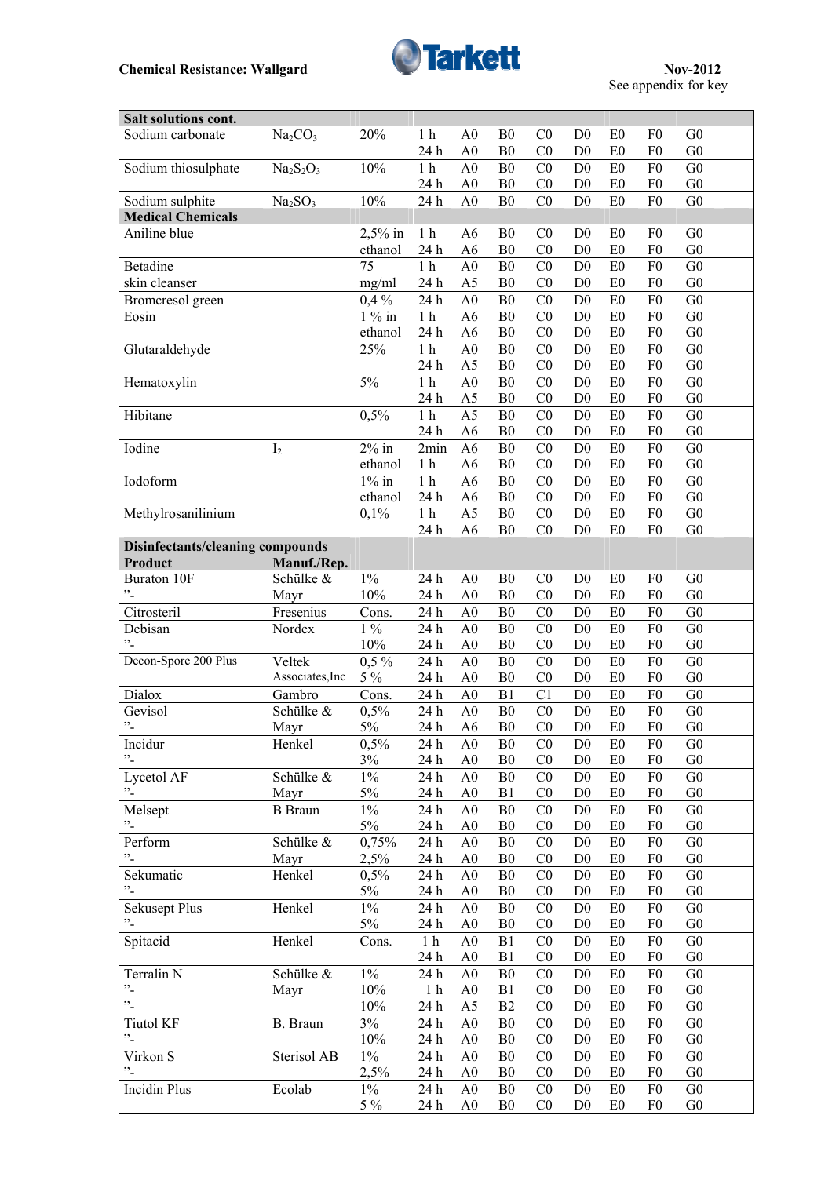

| Salt solutions cont.                    |                                 |                |                 |                                  |                                  |                                  |                                  |                      |                                  |                                  |  |
|-----------------------------------------|---------------------------------|----------------|-----------------|----------------------------------|----------------------------------|----------------------------------|----------------------------------|----------------------|----------------------------------|----------------------------------|--|
| Sodium carbonate                        | Na <sub>2</sub> CO <sub>3</sub> | 20%            | 1 <sub>h</sub>  | A <sub>0</sub>                   | B <sub>0</sub>                   | C <sub>0</sub>                   | D <sub>0</sub>                   | E <sub>0</sub>       | F <sub>0</sub>                   | G <sub>0</sub>                   |  |
|                                         |                                 |                | 24 h            | A <sub>0</sub>                   | B <sub>0</sub>                   | C <sub>0</sub>                   | D <sub>0</sub>                   | E <sub>0</sub>       | ${\rm F0}$                       | G <sub>0</sub>                   |  |
| Sodium thiosulphate                     | $Na2S2O3$                       | 10%            | 1 <sub>h</sub>  | A <sub>0</sub>                   | ${\bf B0}$                       | C <sub>0</sub>                   | D <sub>0</sub>                   | E0                   | F <sub>0</sub>                   | G <sub>0</sub>                   |  |
|                                         |                                 |                | 24 h            | A <sub>0</sub>                   | B <sub>0</sub>                   | C <sub>0</sub>                   | D <sub>0</sub>                   | E <sub>0</sub>       | F <sub>0</sub>                   | G <sub>0</sub>                   |  |
| Sodium sulphite                         | Na <sub>2</sub> SO <sub>3</sub> | 10%            | 24 h            | $\overline{A0}$                  | $\overline{B0}$                  | C <sub>0</sub>                   | D <sub>0</sub>                   | E <sub>0</sub>       | F <sub>0</sub>                   | G <sub>0</sub>                   |  |
| <b>Medical Chemicals</b>                |                                 |                |                 |                                  |                                  |                                  |                                  |                      |                                  |                                  |  |
| Aniline blue                            |                                 | $2,5%$ in      | 1 <sub>h</sub>  | A <sub>6</sub>                   | B <sub>0</sub>                   | C <sub>0</sub>                   | D <sub>0</sub>                   | E <sub>0</sub>       | F <sub>0</sub>                   | G <sub>0</sub>                   |  |
|                                         |                                 | ethanol        | 24 h            | A <sub>6</sub>                   | B <sub>0</sub>                   | C <sub>0</sub>                   | D <sub>0</sub>                   | E <sub>0</sub>       | ${\rm F0}$                       | G <sub>0</sub>                   |  |
| <b>Betadine</b>                         |                                 | 75             | $1\ \mathrm{h}$ | A <sub>0</sub>                   | B <sub>0</sub>                   | C <sub>0</sub>                   | D <sub>0</sub>                   | E <sub>0</sub>       | F <sub>0</sub>                   | G <sub>0</sub>                   |  |
| skin cleanser                           |                                 | mg/ml          | 24 h            | A <sub>5</sub>                   | B <sub>0</sub>                   | C <sub>0</sub>                   | D <sub>0</sub>                   | E <sub>0</sub>       | F <sub>0</sub>                   | G <sub>0</sub>                   |  |
| Bromcresol green                        |                                 | $0,4\%$        | 24 h            | A <sub>0</sub>                   | B <sub>0</sub>                   | C <sub>0</sub>                   | D <sub>0</sub>                   | E <sub>0</sub>       | ${\rm F0}$                       | G <sub>0</sub>                   |  |
| Eosin                                   |                                 | $1\%$ in       | 1 <sub>h</sub>  | A <sub>6</sub>                   | B <sub>0</sub>                   | C <sub>0</sub>                   | D <sub>0</sub>                   | E0                   | F <sub>0</sub>                   | G <sub>0</sub>                   |  |
|                                         |                                 | ethanol        | 24 h            | A <sub>6</sub>                   | B <sub>0</sub>                   | C <sub>0</sub>                   | D <sub>0</sub>                   | E <sub>0</sub>       | ${\rm F0}$                       | G <sub>0</sub>                   |  |
|                                         |                                 | 25%            | 1 <sub>h</sub>  | A <sub>0</sub>                   | B <sub>0</sub>                   | C <sub>0</sub>                   |                                  | E0                   | F <sub>0</sub>                   | G <sub>0</sub>                   |  |
| Glutaraldehyde                          |                                 |                |                 |                                  |                                  |                                  | D <sub>0</sub>                   |                      |                                  |                                  |  |
|                                         |                                 |                | 24 h            | A <sub>5</sub>                   | B <sub>0</sub>                   | C <sub>0</sub>                   | D <sub>0</sub>                   | E0                   | ${\rm F0}$                       | G <sub>0</sub>                   |  |
| Hematoxylin                             |                                 | $5\%$          | $1\ \mathrm{h}$ | A <sub>0</sub>                   | ${\bf B0}$                       | C <sub>0</sub>                   | D <sub>0</sub>                   | E <sub>0</sub>       | F <sub>0</sub>                   | G <sub>0</sub>                   |  |
|                                         |                                 |                | 24 h            | A <sub>5</sub>                   | B <sub>0</sub>                   | C <sub>0</sub>                   | D <sub>0</sub>                   | E0                   | ${\rm F0}$                       | ${\rm G0}$                       |  |
| Hibitane                                |                                 | 0,5%           | $1\ \mathrm{h}$ | $\overline{A5}$                  | ${\bf B0}$                       | C <sub>0</sub>                   | D <sub>0</sub>                   | ${\rm E}0$           | F <sub>0</sub>                   | G <sub>0</sub>                   |  |
|                                         |                                 |                | 24 h            | A6                               | B <sub>0</sub>                   | C <sub>0</sub>                   | D <sub>0</sub>                   | E <sub>0</sub>       | ${\rm F0}$                       | ${\rm G0}$                       |  |
| Iodine                                  | I <sub>2</sub>                  | $2\%$ in       | 2min            | A6                               | B <sub>0</sub>                   | CO                               | D <sub>0</sub>                   | E <sub>0</sub>       | F <sub>0</sub>                   | G <sub>0</sub>                   |  |
|                                         |                                 | ethanol        | 1 <sub>h</sub>  | A6                               | B <sub>0</sub>                   | C <sub>0</sub>                   | D <sub>0</sub>                   | E <sub>0</sub>       | F <sub>0</sub>                   | G <sub>0</sub>                   |  |
| Iodoform                                |                                 | $1\%$ in       | $1\ \mathrm{h}$ | A <sub>6</sub>                   | B <sub>0</sub>                   | C <sub>0</sub>                   | D <sub>0</sub>                   | E <sub>0</sub>       | F <sub>0</sub>                   | G <sub>0</sub>                   |  |
|                                         |                                 | ethanol        | 24 h            | A <sub>6</sub>                   | ${\bf B0}$                       | C <sub>0</sub>                   | D <sub>0</sub>                   | E <sub>0</sub>       | F <sub>0</sub>                   | ${\rm G0}$                       |  |
| Methylrosanilinium                      |                                 | 0,1%           | $1\ \mathrm{h}$ | A <sub>5</sub>                   | ${\bf B0}$                       | CO                               | D <sub>0</sub>                   | E <sub>0</sub>       | F <sub>0</sub>                   | G <sub>0</sub>                   |  |
|                                         |                                 |                | 24h             | A <sub>6</sub>                   | B <sub>0</sub>                   | CO                               | D <sub>0</sub>                   | E <sub>0</sub>       | ${\rm F0}$                       | G <sub>0</sub>                   |  |
| <b>Disinfectants/cleaning compounds</b> |                                 |                |                 |                                  |                                  |                                  |                                  |                      |                                  |                                  |  |
| Product                                 | Manuf./Rep.                     |                |                 |                                  |                                  |                                  |                                  |                      |                                  |                                  |  |
| <b>Buraton 10F</b>                      | Schülke &                       | $1\%$          | 24 h            | A <sub>0</sub>                   | B <sub>0</sub>                   | CO                               | D <sub>0</sub>                   | E <sub>0</sub>       | F <sub>0</sub>                   | G <sub>0</sub>                   |  |
| $\cdot$ -                               | Mayr                            | 10%            | 24 h            | A <sub>0</sub>                   | B <sub>0</sub>                   | C <sub>0</sub>                   | D <sub>0</sub>                   | E <sub>0</sub>       | F <sub>0</sub>                   | G <sub>0</sub>                   |  |
| Citrosteril                             | Fresenius                       | Cons.          | 24 h            | A <sub>0</sub>                   | B <sub>0</sub>                   | C <sub>0</sub>                   | D <sub>0</sub>                   | E <sub>0</sub>       | F <sub>0</sub>                   | G <sub>0</sub>                   |  |
| Debisan                                 | Nordex                          | $1\%$          | 24h             | A <sub>0</sub>                   | B <sub>0</sub>                   | C <sub>0</sub>                   | D <sub>0</sub>                   | E0                   | F <sub>0</sub>                   | G <sub>0</sub>                   |  |
| "-                                      |                                 | 10%            | 24 h            | A <sub>0</sub>                   | B <sub>0</sub>                   | C <sub>0</sub>                   | D <sub>0</sub>                   | E <sub>0</sub>       | F <sub>0</sub>                   | G <sub>0</sub>                   |  |
| Decon-Spore 200 Plus                    | Veltek                          | $0,5\%$        | 24 h            | A <sub>0</sub>                   | B <sub>0</sub>                   | C <sub>0</sub>                   | D <sub>0</sub>                   | E <sub>0</sub>       | F <sub>0</sub>                   | G <sub>0</sub>                   |  |
|                                         | Associates, Inc                 | $5\%$          | 24 h            | A <sub>0</sub>                   | B <sub>0</sub>                   | C <sub>0</sub>                   | D <sub>0</sub>                   | E <sub>0</sub>       | F <sub>0</sub>                   | G <sub>0</sub>                   |  |
| Dialox                                  | Gambro                          | Cons.          | 24 h            | A <sub>0</sub>                   | B1                               | C1                               | D <sub>0</sub>                   | E <sub>0</sub>       | ${\rm F0}$                       | G <sub>0</sub>                   |  |
| Gevisol                                 | Schülke &                       | 0,5%           | 24 h            | A <sub>0</sub>                   | B <sub>0</sub>                   | C <sub>0</sub>                   | D <sub>0</sub>                   | E <sub>0</sub>       | F <sub>0</sub>                   | G <sub>0</sub>                   |  |
| $^{\prime\prime}$ -                     | Mayr                            | 5%             | 24 h            | A <sub>6</sub>                   | B <sub>0</sub>                   | C <sub>0</sub>                   | D <sub>0</sub>                   | E <sub>0</sub>       | F <sub>0</sub>                   | G <sub>0</sub>                   |  |
| Incidur                                 |                                 | 0,5%           | 24h             |                                  |                                  |                                  |                                  |                      |                                  |                                  |  |
| $^{\prime\prime}$ -                     | Henkel                          |                |                 | A <sub>0</sub>                   | B <sub>0</sub>                   | $_{\rm C0}$                      | D <sub>0</sub>                   | E <sub>0</sub>       | F <sub>0</sub>                   | G <sub>0</sub>                   |  |
|                                         |                                 | 3%             | 24 h            | A <sub>0</sub>                   | B <sub>0</sub>                   | C <sub>0</sub>                   | D <sub>0</sub>                   | E <sub>0</sub>       | F <sub>0</sub>                   | G <sub>0</sub>                   |  |
| Lycetol AF                              | Schülke &                       | $1\%$          | 24 h            | A <sub>0</sub>                   | B <sub>0</sub>                   | C <sub>0</sub>                   | D <sub>0</sub>                   | E <sub>0</sub>       | F <sub>0</sub>                   | G <sub>0</sub>                   |  |
| $\mathcal{L}$                           | Mayr                            | $5\%$          | 24 h            | A <sub>0</sub>                   | B1                               | C <sub>0</sub>                   | D <sub>0</sub>                   | E0                   | ${\rm F0}$                       | ${\rm G0}$                       |  |
| Melsept                                 | <b>B</b> Braun                  | $1\%$          | 24 h            | A <sub>0</sub>                   | B <sub>0</sub>                   | C <sub>0</sub>                   | D <sub>0</sub>                   | E <sub>0</sub>       | F <sub>0</sub>                   | G <sub>0</sub>                   |  |
| $\cdot$                                 |                                 | $5\%$          | 24 h            | A <sub>0</sub>                   | B <sub>0</sub>                   | C <sub>0</sub>                   | D <sub>0</sub>                   | E <sub>0</sub>       | F <sub>0</sub>                   | ${\rm G0}$                       |  |
| Perform                                 | Schülke &                       | 0,75%          | 24 h            | A <sub>0</sub>                   | B <sub>0</sub>                   | C <sub>0</sub>                   | D <sub>0</sub>                   | E0                   | F <sub>0</sub>                   | G <sub>0</sub>                   |  |
| $\cdot$ -                               | Mayr                            | 2,5%           | 24 h            | A <sub>0</sub>                   | B <sub>0</sub>                   | C <sub>0</sub>                   | D <sub>0</sub>                   | E <sub>0</sub>       | F <sub>0</sub>                   | G <sub>0</sub>                   |  |
| Sekumatic                               | Henkel                          | 0,5%           | 24 h            | A <sub>0</sub>                   | B <sub>0</sub>                   | C <sub>0</sub>                   | D <sub>0</sub>                   | E <sub>0</sub>       | F <sub>0</sub>                   | G <sub>0</sub>                   |  |
| $\cdot$ -                               |                                 | 5%             | 24 h            | A <sub>0</sub>                   | B <sub>0</sub>                   | C <sub>0</sub>                   | D <sub>0</sub>                   | E <sub>0</sub>       | F <sub>0</sub>                   | G <sub>0</sub>                   |  |
| <b>Sekusept Plus</b>                    | Henkel                          | $1\%$          | 24 h            | A <sub>0</sub>                   | B <sub>0</sub>                   | CO                               | D <sub>0</sub>                   | E <sub>0</sub>       | F <sub>0</sub>                   | G <sub>0</sub>                   |  |
| $^{\prime\prime}$                       |                                 | $5\%$          | 24 h            | A <sub>0</sub>                   | B <sub>0</sub>                   | C <sub>0</sub>                   | D <sub>0</sub>                   | E <sub>0</sub>       | F <sub>0</sub>                   | G <sub>0</sub>                   |  |
| Spitacid                                | Henkel                          | Cons.          | 1 <sub>h</sub>  | A <sub>0</sub>                   | B1                               | C <sub>0</sub>                   | D <sub>0</sub>                   | E <sub>0</sub>       | F <sub>0</sub>                   | G <sub>0</sub>                   |  |
|                                         |                                 |                | 24 h            | A <sub>0</sub>                   | B1                               | C <sub>0</sub>                   | D <sub>0</sub>                   | E <sub>0</sub>       | F <sub>0</sub>                   | G <sub>0</sub>                   |  |
| Terralin N                              | Schülke &                       | $1\%$          | 24 h            | A <sub>0</sub>                   | B <sub>0</sub>                   | C <sub>0</sub>                   | D <sub>0</sub>                   | E <sub>0</sub>       | F <sub>0</sub>                   | G <sub>0</sub>                   |  |
| $\cdot$                                 | Mayr                            | 10%            | 1 <sub>h</sub>  | A <sub>0</sub>                   | B1                               | C <sub>0</sub>                   | D <sub>0</sub>                   | E <sub>0</sub>       | F <sub>0</sub>                   | ${\rm G0}$                       |  |
| $^{\prime\prime}$ .                     |                                 | 10%            | 24 h            | A <sub>5</sub>                   | B <sub>2</sub>                   | C <sub>0</sub>                   | D <sub>0</sub>                   | E <sub>0</sub>       | F <sub>0</sub>                   | G <sub>0</sub>                   |  |
| <b>Tiutol KF</b>                        | B. Braun                        | 3%             | 24 h            | A <sub>0</sub>                   | B <sub>0</sub>                   | C <sub>0</sub>                   | D <sub>0</sub>                   | E <sub>0</sub>       | F <sub>0</sub>                   | G <sub>0</sub>                   |  |
| $^{\prime\prime}$ -                     |                                 | 10%            | 24 h            | A <sub>0</sub>                   | B <sub>0</sub>                   | C <sub>0</sub>                   | D <sub>0</sub>                   | E <sub>0</sub>       | F <sub>0</sub>                   | G <sub>0</sub>                   |  |
| Virkon S                                | Sterisol AB                     | $1\%$          | 24h             | A <sub>0</sub>                   | B <sub>0</sub>                   | C <sub>0</sub>                   | D <sub>0</sub>                   | E <sub>0</sub>       | F <sub>0</sub>                   | G <sub>0</sub>                   |  |
| "-                                      |                                 | 2,5%           | 24 h            | A <sub>0</sub>                   | B <sub>0</sub>                   | C <sub>0</sub>                   | D <sub>0</sub>                   | E <sub>0</sub>       | F <sub>0</sub>                   | G <sub>0</sub>                   |  |
|                                         |                                 |                |                 |                                  |                                  |                                  |                                  |                      |                                  |                                  |  |
| <b>Incidin Plus</b>                     | Ecolab                          | $1\%$<br>$5\%$ | 24 h<br>24 h    | A <sub>0</sub><br>A <sub>0</sub> | B <sub>0</sub><br>B <sub>0</sub> | C <sub>0</sub><br>C <sub>0</sub> | D <sub>0</sub><br>D <sub>0</sub> | E <sub>0</sub><br>E0 | F <sub>0</sub><br>F <sub>0</sub> | G <sub>0</sub><br>G <sub>0</sub> |  |
|                                         |                                 |                |                 |                                  |                                  |                                  |                                  |                      |                                  |                                  |  |